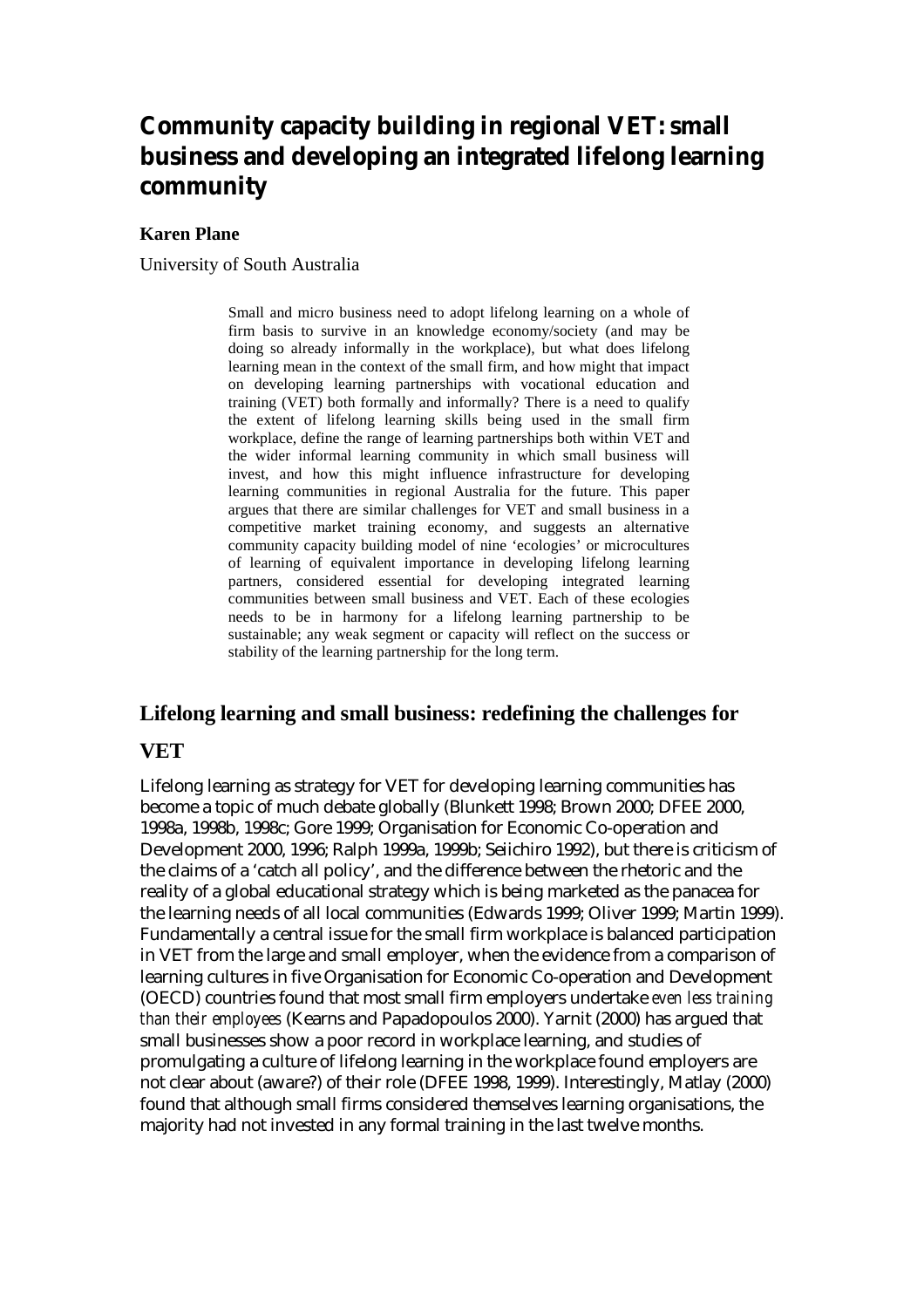# **Community capacity building in regional VET: small business and developing an integrated lifelong learning community**

#### **Karen Plane**

University of South Australia

Small and micro business need to adopt lifelong learning on a whole of firm basis to survive in an knowledge economy/society (and may be doing so already informally in the workplace), but what does lifelong learning mean in the context of the small firm, and how might that impact on developing learning partnerships with vocational education and training (VET) both formally and informally? There is a need to qualify the extent of lifelong learning skills being used in the small firm workplace, define the range of learning partnerships both within VET and the wider informal learning community in which small business will invest, and how this might influence infrastructure for developing learning communities in regional Australia for the future. This paper argues that there are similar challenges for VET and small business in a competitive market training economy, and suggests an alternative community capacity building model of nine 'ecologies' or microcultures of learning of equivalent importance in developing lifelong learning partners, considered essential for developing integrated learning communities between small business and VET. Each of these ecologies needs to be in harmony for a lifelong learning partnership to be sustainable; any weak segment or capacity will reflect on the success or stability of the learning partnership for the long term.

# **Lifelong learning and small business: redefining the challenges for**

#### **VET**

Lifelong learning as strategy for VET for developing learning communities has become a topic of much debate globally (Blunkett 1998; Brown 2000; DFEE 2000, 1998a, 1998b, 1998c; Gore 1999; Organisation for Economic Co-operation and Development 2000, 1996; Ralph 1999a, 1999b; Seiichiro 1992), but there is criticism of the claims of a 'catch all policy', and the difference between the rhetoric and the reality of a global educational strategy which is being marketed as the panacea for the learning needs of all local communities (Edwards 1999; Oliver 1999; Martin 1999). Fundamentally a central issue for the small firm workplace is balanced participation in VET from the large and small employer, when the evidence from a comparison of learning cultures in five Organisation for Economic Co-operation and Development (OECD) countries found that most small firm employers undertake *even less training than their employees* (Kearns and Papadopoulos 2000). Yarnit (2000) has argued that small businesses show a poor record in workplace learning, and studies of promulgating a culture of lifelong learning in the workplace found employers are not clear about (aware?) of their role (DFEE 1998, 1999). Interestingly, Matlay (2000) found that although small firms considered themselves learning organisations, the majority had not invested in any formal training in the last twelve months.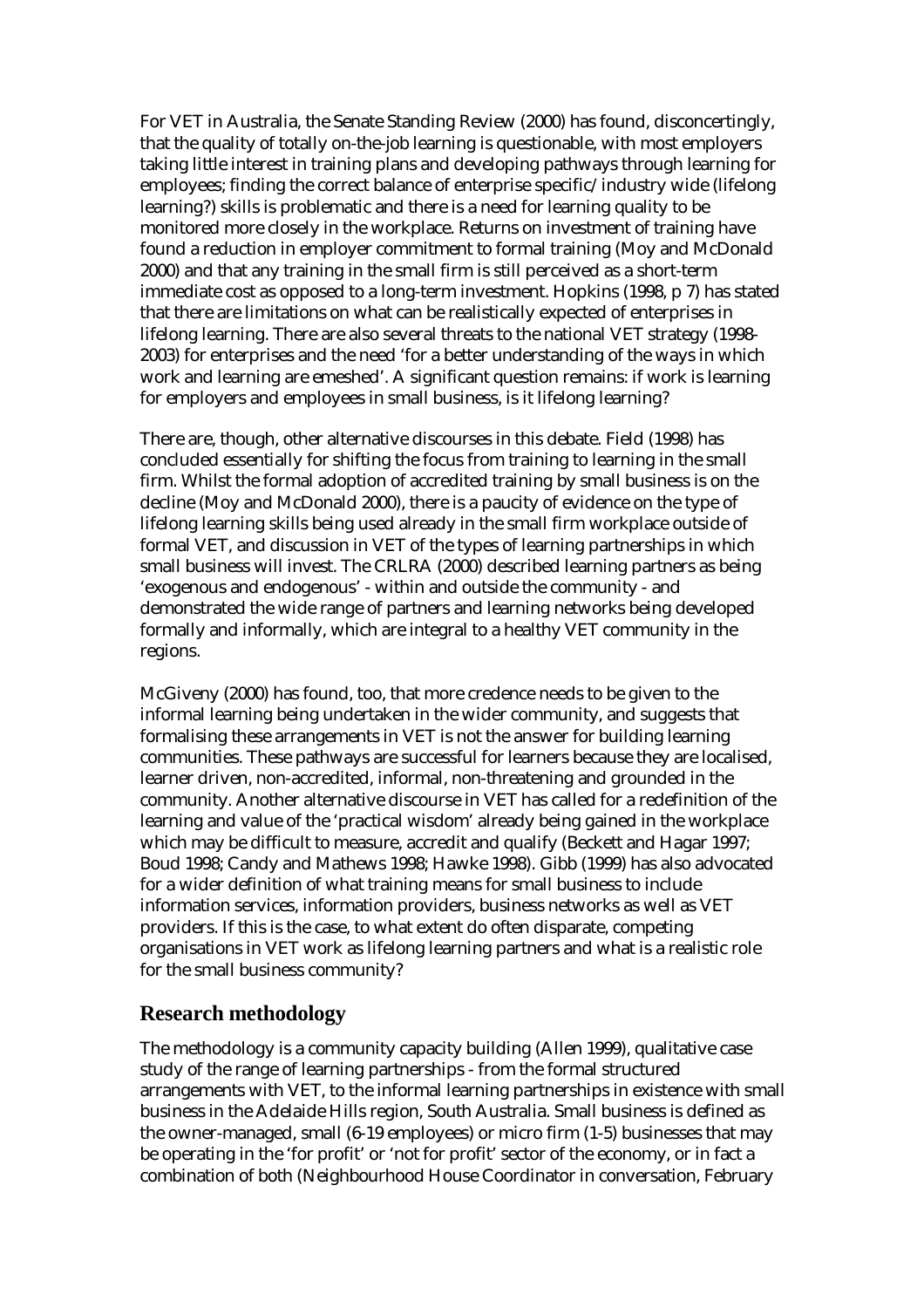For VET in Australia, the Senate Standing Review (2000) has found, disconcertingly, that the quality of totally on-the-job learning is questionable, with most employers taking little interest in training plans and developing pathways through learning for employees; finding the correct balance of enterprise specific/industry wide (lifelong learning?) skills is problematic and there is a need for learning quality to be monitored more closely in the workplace. Returns on investment of training have found a reduction in employer commitment to formal training (Moy and McDonald 2000) and that any training in the small firm is still perceived as a short-term immediate cost as opposed to a long-term investment. Hopkins (1998, p 7) has stated that there are limitations on what can be realistically expected of enterprises in lifelong learning. There are also several threats to the national VET strategy (1998- 2003) for enterprises and the need 'for a better understanding of the ways in which work and learning are emeshed'. A significant question remains: if work is learning for employers and employees in small business, is it lifelong learning?

There are, though, other alternative discourses in this debate. Field (1998) has concluded essentially for shifting the focus from training to learning in the small firm. Whilst the formal adoption of accredited training by small business is on the decline (Moy and McDonald 2000), there is a paucity of evidence on the type of lifelong learning skills being used already in the small firm workplace outside of formal VET, and discussion in VET of the types of learning partnerships in which small business will invest. The CRLRA (2000) described learning partners as being 'exogenous and endogenous' - within and outside the community - and demonstrated the wide range of partners and learning networks being developed formally and informally, which are integral to a healthy VET community in the regions.

McGiveny (2000) has found, too, that more credence needs to be given to the informal learning being undertaken in the wider community, and suggests that formalising these arrangements in VET is not the answer for building learning communities. These pathways are successful for learners because they are localised, learner driven, non-accredited, informal, non-threatening and grounded in the community. Another alternative discourse in VET has called for a redefinition of the learning and value of the 'practical wisdom' already being gained in the workplace which may be difficult to measure, accredit and qualify (Beckett and Hagar 1997; Boud 1998; Candy and Mathews 1998; Hawke 1998). Gibb (1999) has also advocated for a wider definition of what training means for small business to include information services, information providers, business networks as well as VET providers. If this is the case, to what extent do often disparate, competing organisations in VET work as lifelong learning partners and what is a realistic role for the small business community?

#### **Research methodology**

The methodology is a community capacity building (Allen 1999), qualitative case study of the range of learning partnerships - from the formal structured arrangements with VET, to the informal learning partnerships in existence with small business in the Adelaide Hills region, South Australia. Small business is defined as the owner-managed, small (6-19 employees) or micro firm (1-5) businesses that may be operating in the 'for profit' or 'not for profit' sector of the economy, or in fact a combination of both (Neighbourhood House Coordinator in conversation, February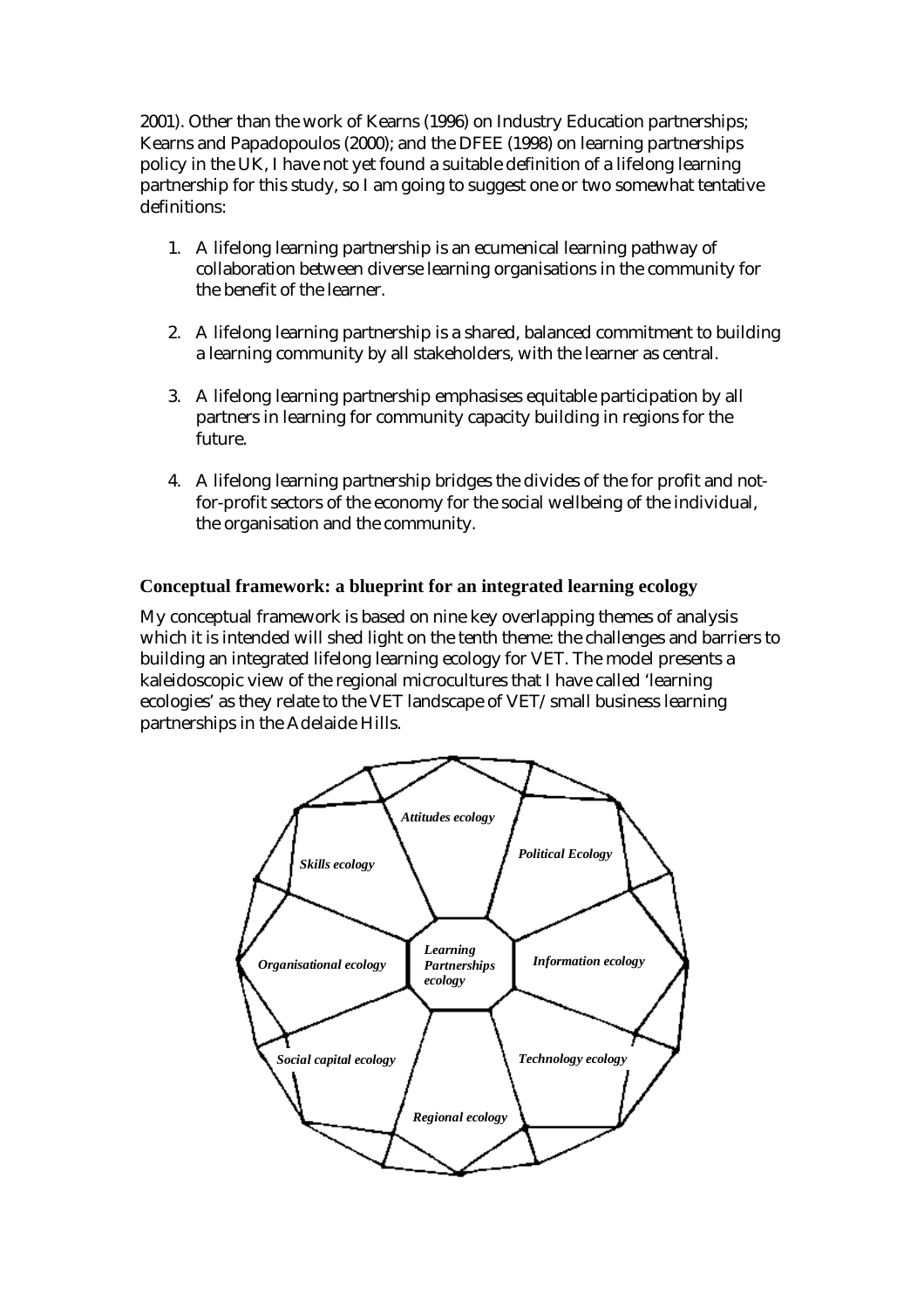2001). Other than the work of Kearns (1996) on Industry Education partnerships; Kearns and Papadopoulos (2000); and the DFEE (1998) on learning partnerships policy in the UK, I have not yet found a suitable definition of a lifelong learning partnership for this study, so I am going to suggest one or two somewhat tentative definitions:

- 1. A lifelong learning partnership is an ecumenical learning pathway of collaboration between diverse learning organisations in the community for the benefit of the learner.
- 2. A lifelong learning partnership is a shared, balanced commitment to building a learning community by all stakeholders, with the learner as central.
- 3. A lifelong learning partnership emphasises equitable participation by all partners in learning for community capacity building in regions for the future.
- 4. A lifelong learning partnership bridges the divides of the for profit and notfor-profit sectors of the economy for the social wellbeing of the individual, the organisation and the community.

#### **Conceptual framework: a blueprint for an integrated learning ecology**

My conceptual framework is based on nine key overlapping themes of analysis which it is intended will shed light on the tenth theme: the challenges and barriers to building an integrated lifelong learning ecology for VET. The model presents a kaleidoscopic view of the regional microcultures that I have called 'learning ecologies' as they relate to the VET landscape of VET/small business learning partnerships in the Adelaide Hills.

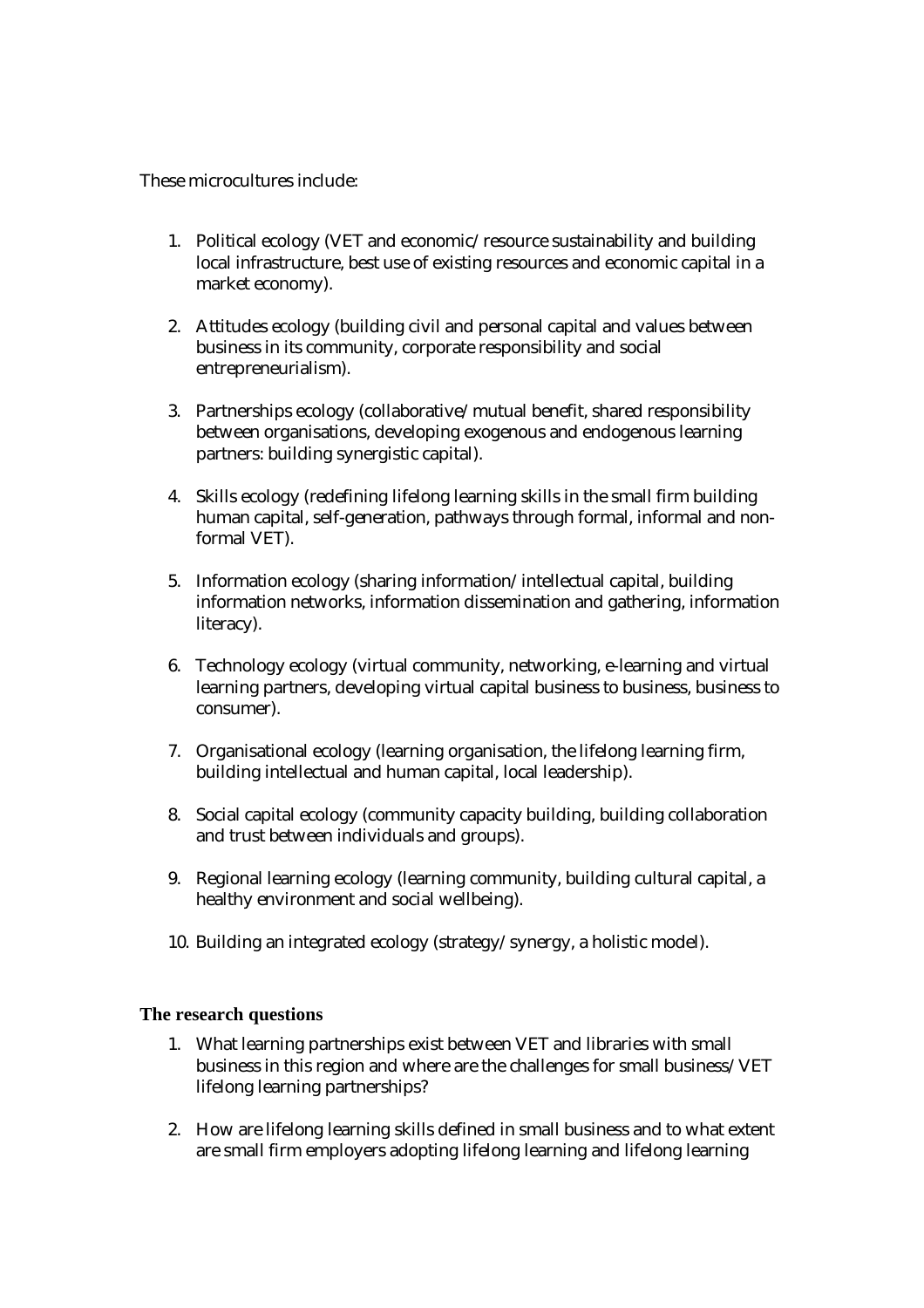These microcultures include:

- 1. Political ecology (VET and economic/resource sustainability and building local infrastructure, best use of existing resources and economic capital in a market economy).
- 2. Attitudes ecology (building civil and personal capital and values between business in its community, corporate responsibility and social entrepreneurialism).
- 3. Partnerships ecology (collaborative/mutual benefit, shared responsibility between organisations, developing exogenous and endogenous learning partners: building synergistic capital).
- 4. Skills ecology (redefining lifelong learning skills in the small firm building human capital, self-generation, pathways through formal, informal and nonformal VET).
- 5. Information ecology (sharing information/intellectual capital, building information networks, information dissemination and gathering, information literacy).
- 6. Technology ecology (virtual community, networking, e-learning and virtual learning partners, developing virtual capital business to business, business to consumer).
- 7. Organisational ecology (learning organisation, the lifelong learning firm, building intellectual and human capital, local leadership).
- 8. Social capital ecology (community capacity building, building collaboration and trust between individuals and groups).
- 9. Regional learning ecology (learning community, building cultural capital, a healthy environment and social wellbeing).
- 10. Building an integrated ecology (strategy/synergy, a holistic model).

#### **The research questions**

- 1. What learning partnerships exist between VET and libraries with small business in this region and where are the challenges for small business/VET lifelong learning partnerships?
- 2. How are lifelong learning skills defined in small business and to what extent are small firm employers adopting lifelong learning and lifelong learning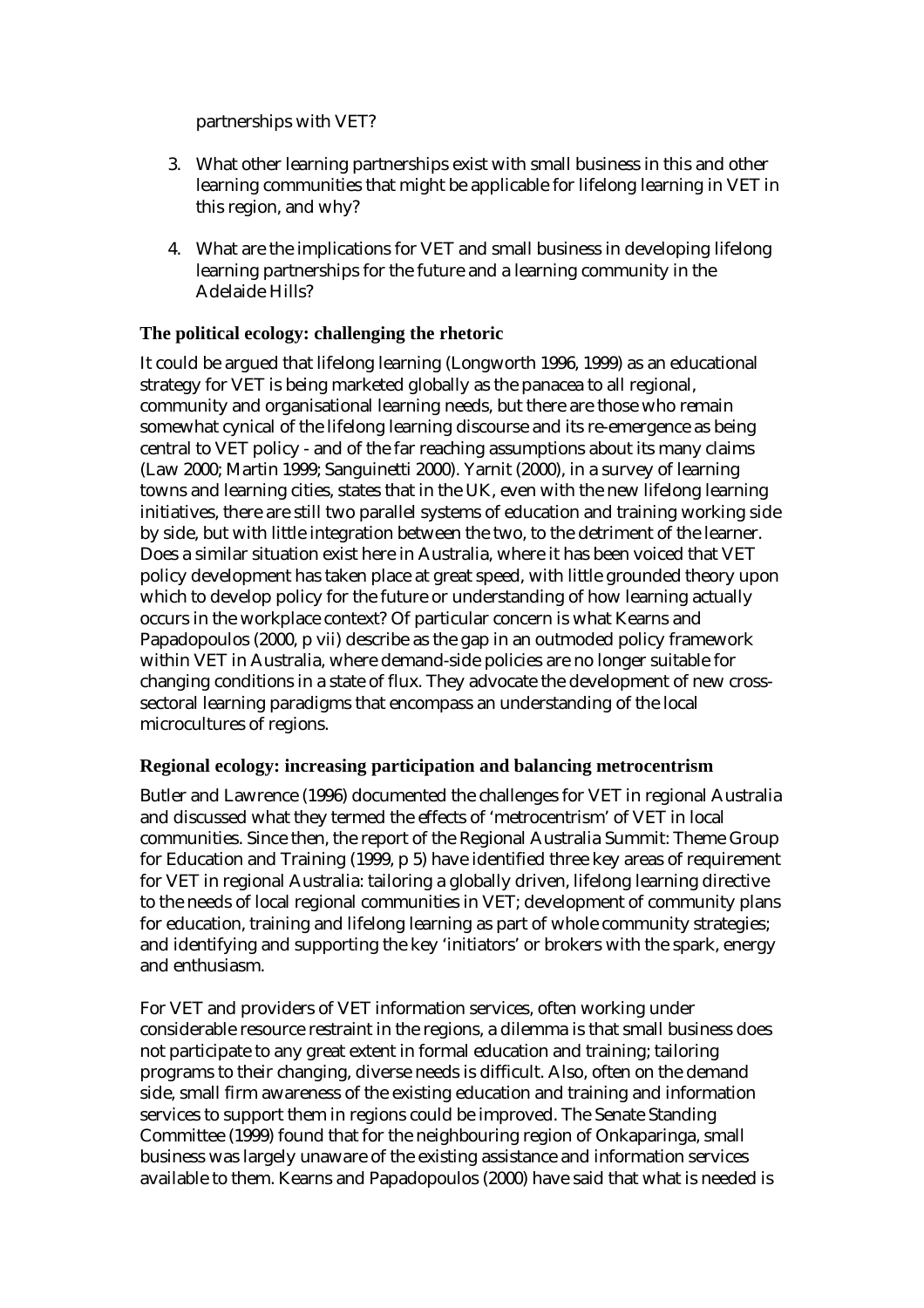partnerships with VET?

- 3. What other learning partnerships exist with small business in this and other learning communities that might be applicable for lifelong learning in VET in this region, and why?
- 4. What are the implications for VET and small business in developing lifelong learning partnerships for the future and a learning community in the Adelaide Hills?

### **The political ecology: challenging the rhetoric**

It could be argued that lifelong learning (Longworth 1996, 1999) as an educational strategy for VET is being marketed globally as the panacea to all regional, community and organisational learning needs, but there are those who remain somewhat cynical of the lifelong learning discourse and its re-emergence as being central to VET policy - and of the far reaching assumptions about its many claims (Law 2000; Martin 1999; Sanguinetti 2000). Yarnit (2000), in a survey of learning towns and learning cities, states that in the UK, even with the new lifelong learning initiatives, there are still two parallel systems of education and training working side by side, but with little integration between the two, to the detriment of the learner. Does a similar situation exist here in Australia, where it has been voiced that VET policy development has taken place at great speed, with little grounded theory upon which to develop policy for the future or understanding of how learning actually occurs in the workplace context? Of particular concern is what Kearns and Papadopoulos (2000, p vii) describe as the gap in an outmoded policy framework within VET in Australia, where demand-side policies are no longer suitable for changing conditions in a state of flux. They advocate the development of new crosssectoral learning paradigms that encompass an understanding of the local microcultures of regions.

#### **Regional ecology: increasing participation and balancing metrocentrism**

Butler and Lawrence (1996) documented the challenges for VET in regional Australia and discussed what they termed the effects of 'metrocentrism' of VET in local communities. Since then, the report of the Regional Australia Summit: Theme Group for Education and Training (1999, p 5) have identified three key areas of requirement for VET in regional Australia: tailoring a globally driven, lifelong learning directive to the needs of local regional communities in VET; development of community plans for education, training and lifelong learning as part of whole community strategies; and identifying and supporting the key 'initiators' or brokers with the spark, energy and enthusiasm.

For VET and providers of VET information services, often working under considerable resource restraint in the regions, a dilemma is that small business does not participate to any great extent in formal education and training; tailoring programs to their changing, diverse needs is difficult. Also, often on the demand side, small firm awareness of the existing education and training and information services to support them in regions could be improved. The Senate Standing Committee (1999) found that for the neighbouring region of Onkaparinga, small business was largely unaware of the existing assistance and information services available to them. Kearns and Papadopoulos (2000) have said that what is needed is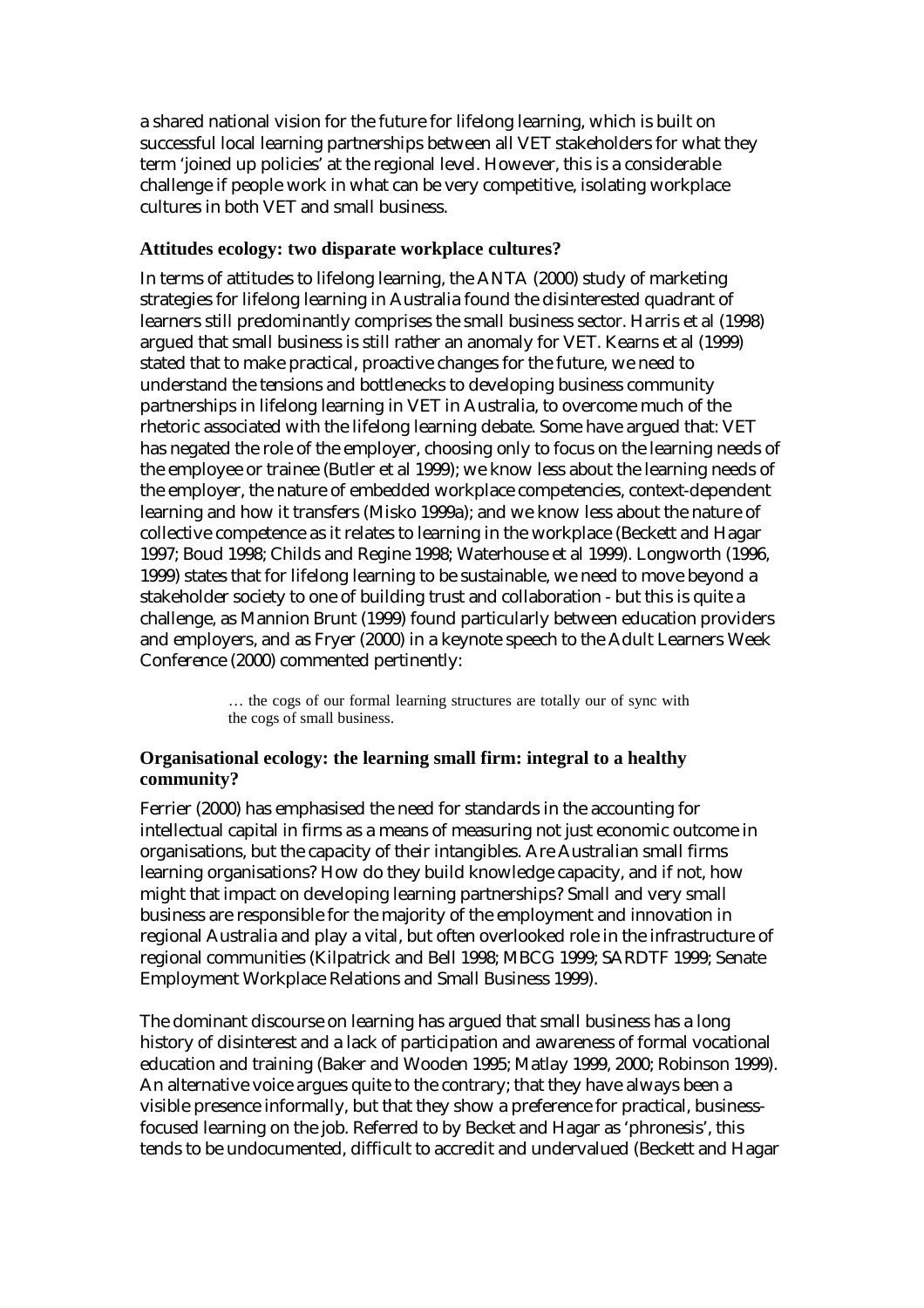a shared national vision for the future for lifelong learning, which is built on successful local learning partnerships between all VET stakeholders for what they term 'joined up policies' at the regional level. However, this is a considerable challenge if people work in what can be very competitive, isolating workplace cultures in both VET and small business.

#### **Attitudes ecology: two disparate workplace cultures?**

In terms of attitudes to lifelong learning, the ANTA (2000) study of marketing strategies for lifelong learning in Australia found the disinterested quadrant of learners still predominantly comprises the small business sector. Harris et al (1998) argued that small business is still rather an anomaly for VET. Kearns et al (1999) stated that to make practical, proactive changes for the future, we need to understand the tensions and bottlenecks to developing business community partnerships in lifelong learning in VET in Australia, to overcome much of the rhetoric associated with the lifelong learning debate. Some have argued that: VET has negated the role of the employer, choosing only to focus on the learning needs of the employee or trainee (Butler et al 1999); we know less about the learning needs of the employer, the nature of embedded workplace competencies, context-dependent learning and how it transfers (Misko 1999a); and we know less about the nature of collective competence as it relates to learning in the workplace (Beckett and Hagar 1997; Boud 1998; Childs and Regine 1998; Waterhouse et al 1999). Longworth (1996, 1999) states that for lifelong learning to be sustainable, we need to move beyond a stakeholder society to one of building trust and collaboration - but this is quite a challenge, as Mannion Brunt (1999) found particularly between education providers and employers, and as Fryer (2000) in a keynote speech to the Adult Learners Week Conference (2000) commented pertinently:

> … the cogs of our formal learning structures are totally our of sync with the cogs of small business.

#### **Organisational ecology: the learning small firm: integral to a healthy community?**

Ferrier (2000) has emphasised the need for standards in the accounting for intellectual capital in firms as a means of measuring not just economic outcome in organisations, but the capacity of their intangibles. Are Australian small firms learning organisations? How do they build knowledge capacity, and if not, how might that impact on developing learning partnerships? Small and very small business are responsible for the majority of the employment and innovation in regional Australia and play a vital, but often overlooked role in the infrastructure of regional communities (Kilpatrick and Bell 1998; MBCG 1999; SARDTF 1999; Senate Employment Workplace Relations and Small Business 1999).

The dominant discourse on learning has argued that small business has a long history of disinterest and a lack of participation and awareness of formal vocational education and training (Baker and Wooden 1995; Matlay 1999, 2000; Robinson 1999). An alternative voice argues quite to the contrary; that they have always been a visible presence informally, but that they show a preference for practical, businessfocused learning on the job. Referred to by Becket and Hagar as 'phronesis', this tends to be undocumented, difficult to accredit and undervalued (Beckett and Hagar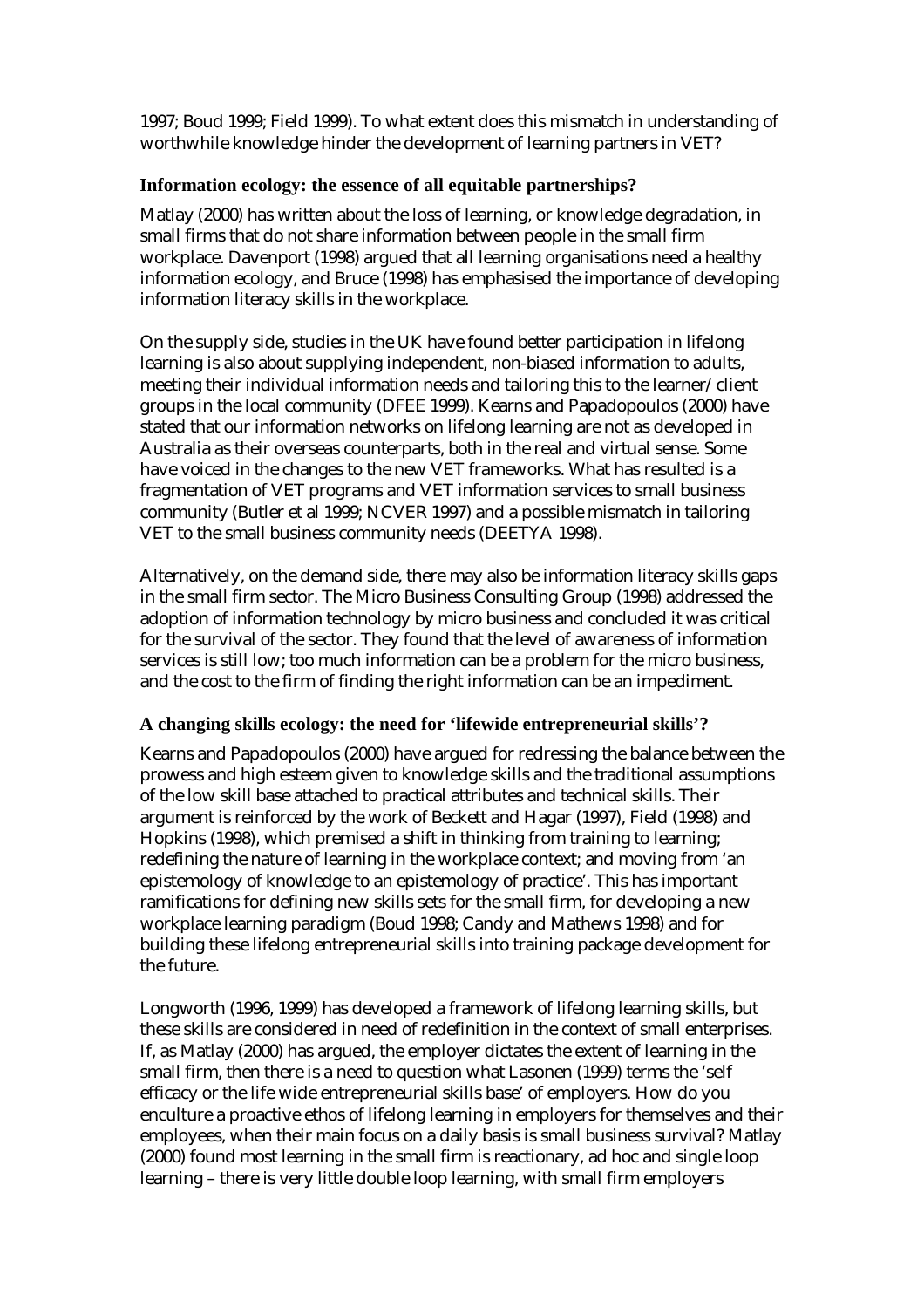1997; Boud 1999; Field 1999). To what extent does this mismatch in understanding of worthwhile knowledge hinder the development of learning partners in VET?

#### **Information ecology: the essence of all equitable partnerships?**

Matlay (2000) has written about the loss of learning, or knowledge degradation, in small firms that do not share information between people in the small firm workplace. Davenport (1998) argued that all learning organisations need a healthy information ecology, and Bruce (1998) has emphasised the importance of developing information literacy skills in the workplace.

On the supply side, studies in the UK have found better participation in lifelong learning is also about supplying independent, non-biased information to adults, meeting their individual information needs and tailoring this to the learner/client groups in the local community (DFEE 1999). Kearns and Papadopoulos (2000) have stated that our information networks on lifelong learning are not as developed in Australia as their overseas counterparts, both in the real and virtual sense. Some have voiced in the changes to the new VET frameworks. What has resulted is a fragmentation of VET programs and VET information services to small business community (Butler et al 1999; NCVER 1997) and a possible mismatch in tailoring VET to the small business community needs (DEETYA 1998).

Alternatively, on the demand side, there may also be information literacy skills gaps in the small firm sector. The Micro Business Consulting Group (1998) addressed the adoption of information technology by micro business and concluded it was critical for the survival of the sector. They found that the level of awareness of information services is still low; too much information can be a problem for the micro business, and the cost to the firm of finding the right information can be an impediment.

#### **A changing skills ecology: the need for 'lifewide entrepreneurial skills'?**

Kearns and Papadopoulos (2000) have argued for redressing the balance between the prowess and high esteem given to knowledge skills and the traditional assumptions of the low skill base attached to practical attributes and technical skills. Their argument is reinforced by the work of Beckett and Hagar (1997), Field (1998) and Hopkins (1998), which premised a shift in thinking from training to learning; redefining the nature of learning in the workplace context; and moving from 'an epistemology of knowledge to an epistemology of practice'. This has important ramifications for defining new skills sets for the small firm, for developing a new workplace learning paradigm (Boud 1998; Candy and Mathews 1998) and for building these lifelong entrepreneurial skills into training package development for the future.

Longworth (1996, 1999) has developed a framework of lifelong learning skills, but these skills are considered in need of redefinition in the context of small enterprises. If, as Matlay (2000) has argued, the employer dictates the extent of learning in the small firm, then there is a need to question what Lasonen (1999) terms the 'self efficacy or the life wide entrepreneurial skills base' of employers. How do you enculture a proactive ethos of lifelong learning in employers for themselves and their employees, when their main focus on a daily basis is small business survival? Matlay (2000) found most learning in the small firm is reactionary, ad hoc and single loop learning – there is very little double loop learning, with small firm employers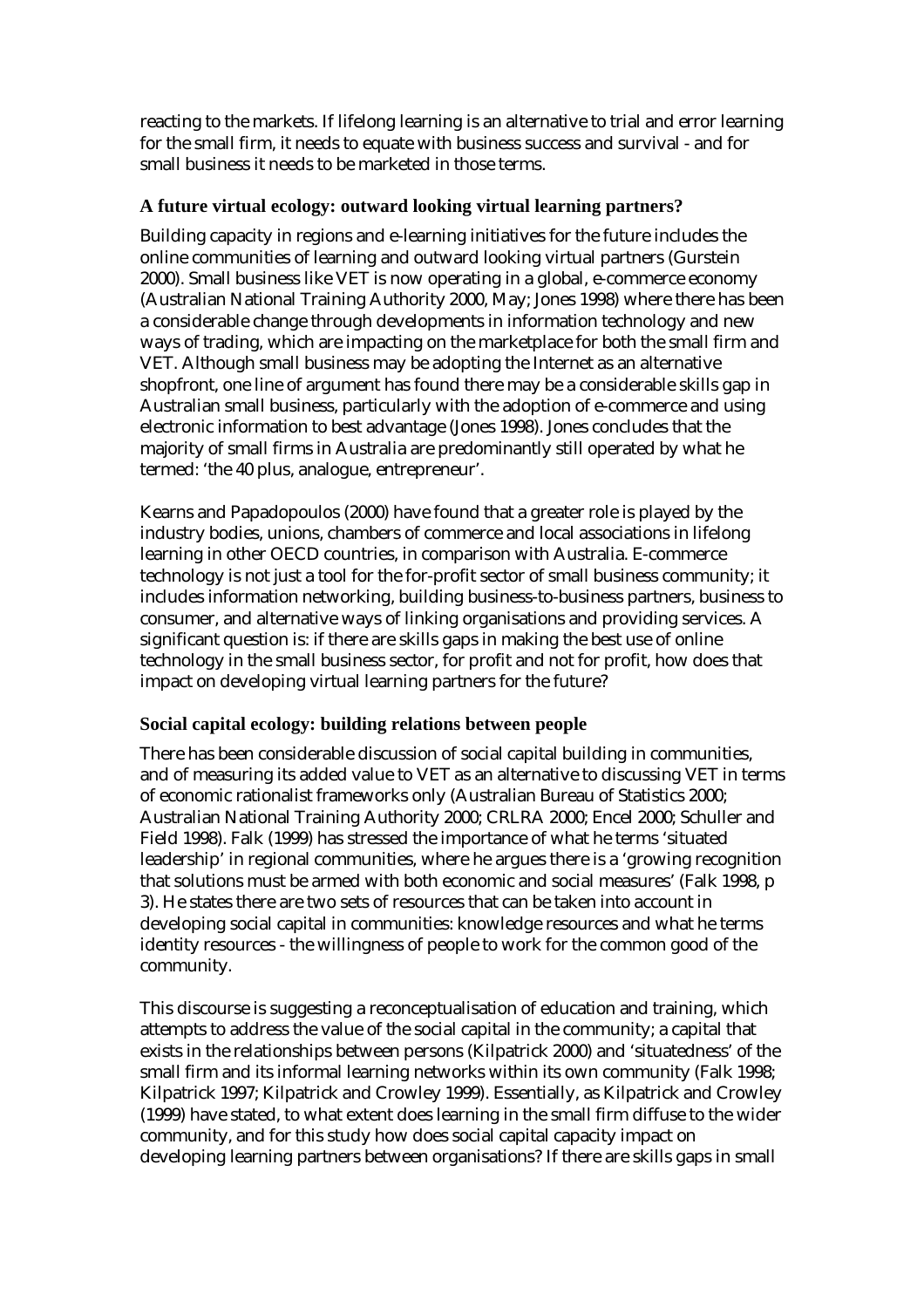reacting to the markets. If lifelong learning is an alternative to trial and error learning for the small firm, it needs to equate with business success and survival - and for small business it needs to be marketed in those terms.

#### **A future virtual ecology: outward looking virtual learning partners?**

Building capacity in regions and e-learning initiatives for the future includes the online communities of learning and outward looking virtual partners (Gurstein 2000). Small business like VET is now operating in a global, e-commerce economy (Australian National Training Authority 2000, May; Jones 1998) where there has been a considerable change through developments in information technology and new ways of trading, which are impacting on the marketplace for both the small firm and VET. Although small business may be adopting the Internet as an alternative shopfront, one line of argument has found there may be a considerable skills gap in Australian small business, particularly with the adoption of e-commerce and using electronic information to best advantage (Jones 1998). Jones concludes that the majority of small firms in Australia are predominantly still operated by what he termed: 'the 40 plus, analogue, entrepreneur'.

Kearns and Papadopoulos (2000) have found that a greater role is played by the industry bodies, unions, chambers of commerce and local associations in lifelong learning in other OECD countries, in comparison with Australia. E-commerce technology is not just a tool for the for-profit sector of small business community; it includes information networking, building business-to-business partners, business to consumer, and alternative ways of linking organisations and providing services. A significant question is: if there are skills gaps in making the best use of online technology in the small business sector, for profit and not for profit, how does that impact on developing virtual learning partners for the future?

#### **Social capital ecology: building relations between people**

There has been considerable discussion of social capital building in communities, and of measuring its added value to VET as an alternative to discussing VET in terms of economic rationalist frameworks only (Australian Bureau of Statistics 2000; Australian National Training Authority 2000; CRLRA 2000; Encel 2000; Schuller and Field 1998). Falk (1999) has stressed the importance of what he terms 'situated leadership' in regional communities, where he argues there is a 'growing recognition that solutions must be armed with both economic and social measures' (Falk 1998, p 3). He states there are two sets of resources that can be taken into account in developing social capital in communities: knowledge resources and what he terms identity resources - the willingness of people to work for the common good of the community.

This discourse is suggesting a reconceptualisation of education and training, which attempts to address the value of the social capital in the community; a capital that exists in the relationships between persons (Kilpatrick 2000) and 'situatedness' of the small firm and its informal learning networks within its own community (Falk 1998; Kilpatrick 1997; Kilpatrick and Crowley 1999). Essentially, as Kilpatrick and Crowley (1999) have stated, to what extent does learning in the small firm diffuse to the wider community, and for this study how does social capital capacity impact on developing learning partners between organisations? If there are skills gaps in small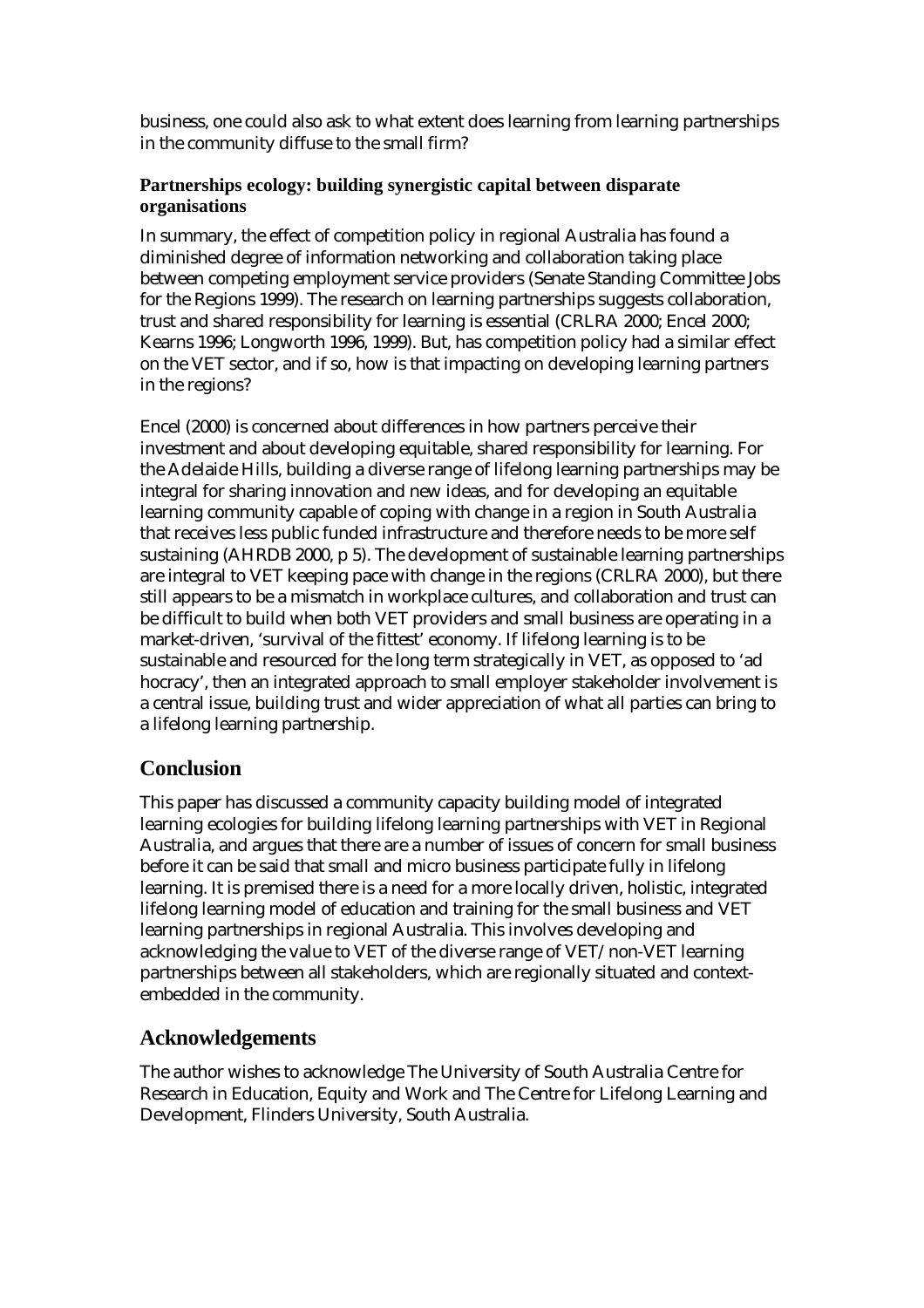business, one could also ask to what extent does learning from learning partnerships in the community diffuse to the small firm?

#### **Partnerships ecology: building synergistic capital between disparate organisations**

In summary, the effect of competition policy in regional Australia has found a diminished degree of information networking and collaboration taking place between competing employment service providers (Senate Standing Committee Jobs for the Regions 1999). The research on learning partnerships suggests collaboration, trust and shared responsibility for learning is essential (CRLRA 2000; Encel 2000; Kearns 1996; Longworth 1996, 1999). But, has competition policy had a similar effect on the VET sector, and if so, how is that impacting on developing learning partners in the regions?

Encel (2000) is concerned about differences in how partners perceive their investment and about developing equitable, shared responsibility for learning. For the Adelaide Hills, building a diverse range of lifelong learning partnerships may be integral for sharing innovation and new ideas, and for developing an equitable learning community capable of coping with change in a region in South Australia that receives less public funded infrastructure and therefore needs to be more self sustaining (AHRDB 2000, p 5). The development of sustainable learning partnerships are integral to VET keeping pace with change in the regions (CRLRA 2000), but there still appears to be a mismatch in workplace cultures, and collaboration and trust can be difficult to build when both VET providers and small business are operating in a market-driven, 'survival of the fittest' economy. If lifelong learning is to be sustainable and resourced for the long term strategically in VET, as opposed to 'ad hocracy', then an integrated approach to small employer stakeholder involvement is a central issue, building trust and wider appreciation of what all parties can bring to a lifelong learning partnership.

## **Conclusion**

This paper has discussed a community capacity building model of integrated learning ecologies for building lifelong learning partnerships with VET in Regional Australia, and argues that there are a number of issues of concern for small business before it can be said that small and micro business participate fully in lifelong learning. It is premised there is a need for a more locally driven, holistic, integrated lifelong learning model of education and training for the small business and VET learning partnerships in regional Australia. This involves developing and acknowledging the value to VET of the diverse range of VET/non-VET learning partnerships between all stakeholders, which are regionally situated and contextembedded in the community.

# **Acknowledgements**

The author wishes to acknowledge The University of South Australia Centre for Research in Education, Equity and Work and The Centre for Lifelong Learning and Development, Flinders University, South Australia.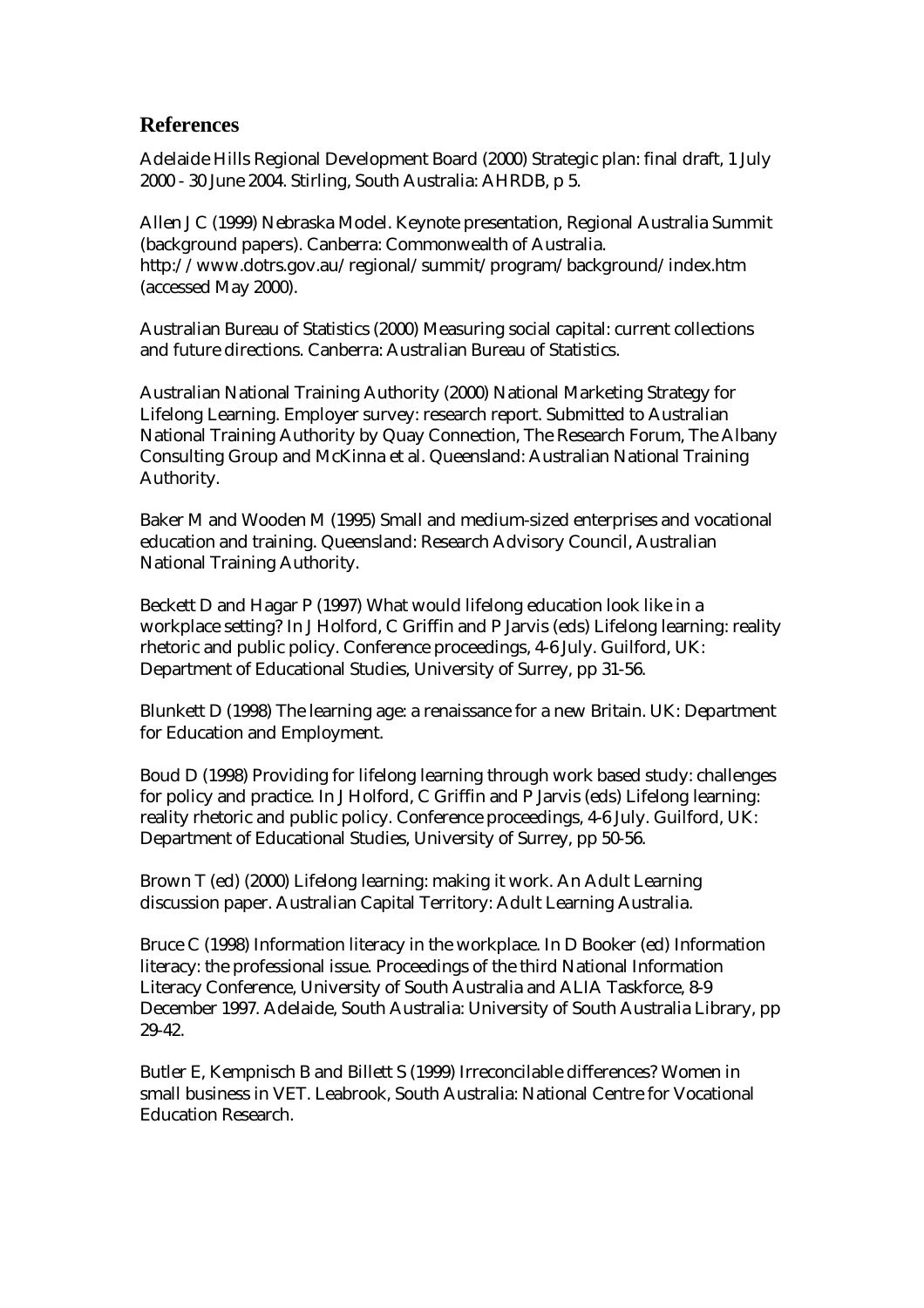### **References**

Adelaide Hills Regional Development Board (2000) Strategic plan: final draft, 1 July 2000 - 30 June 2004. Stirling, South Australia: AHRDB, p 5.

Allen J C (1999) Nebraska Model. Keynote presentation, Regional Australia Summit (background papers). Canberra: Commonwealth of Australia. http://www.dotrs.gov.au/regional/summit/program/background/index.htm (accessed May 2000).

Australian Bureau of Statistics (2000) Measuring social capital: current collections and future directions. Canberra: Australian Bureau of Statistics.

Australian National Training Authority (2000) National Marketing Strategy for Lifelong Learning. Employer survey: research report. Submitted to Australian National Training Authority by Quay Connection, The Research Forum, The Albany Consulting Group and McKinna et al. Queensland: Australian National Training Authority.

Baker M and Wooden M (1995) Small and medium-sized enterprises and vocational education and training. Queensland: Research Advisory Council, Australian National Training Authority.

Beckett D and Hagar P (1997) What would lifelong education look like in a workplace setting? In J Holford, C Griffin and P Jarvis (eds) Lifelong learning: reality rhetoric and public policy. Conference proceedings, 4-6 July. Guilford, UK: Department of Educational Studies, University of Surrey, pp 31-56.

Blunkett D (1998) The learning age: a renaissance for a new Britain. UK: Department for Education and Employment.

Boud D (1998) Providing for lifelong learning through work based study: challenges for policy and practice. In J Holford, C Griffin and P Jarvis (eds) Lifelong learning: reality rhetoric and public policy. Conference proceedings, 4-6 July. Guilford, UK: Department of Educational Studies, University of Surrey, pp 50-56.

Brown T (ed) (2000) Lifelong learning: making it work. An Adult Learning discussion paper. Australian Capital Territory: Adult Learning Australia.

Bruce C (1998) Information literacy in the workplace. In D Booker (ed) Information literacy: the professional issue. Proceedings of the third National Information Literacy Conference, University of South Australia and ALIA Taskforce, 8-9 December 1997. Adelaide, South Australia: University of South Australia Library, pp 29-42.

Butler E, Kempnisch B and Billett S (1999) Irreconcilable differences? Women in small business in VET. Leabrook, South Australia: National Centre for Vocational Education Research.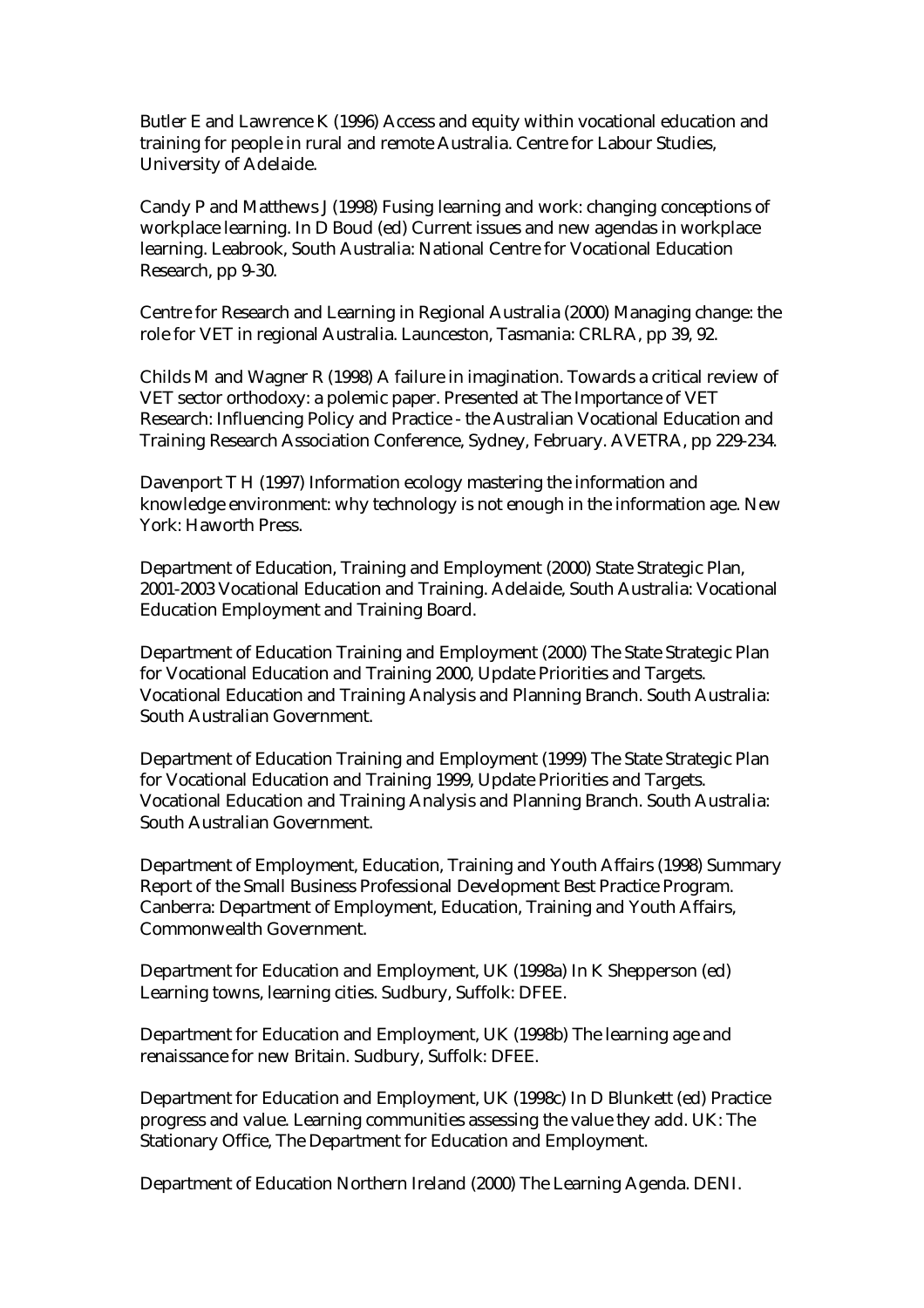Butler E and Lawrence K (1996) Access and equity within vocational education and training for people in rural and remote Australia. Centre for Labour Studies, University of Adelaide.

Candy P and Matthews J (1998) Fusing learning and work: changing conceptions of workplace learning. In D Boud (ed) Current issues and new agendas in workplace learning. Leabrook, South Australia: National Centre for Vocational Education Research, pp 9-30.

Centre for Research and Learning in Regional Australia (2000) Managing change: the role for VET in regional Australia. Launceston, Tasmania: CRLRA, pp 39, 92.

Childs M and Wagner R (1998) A failure in imagination. Towards a critical review of VET sector orthodoxy: a polemic paper. Presented at The Importance of VET Research: Influencing Policy and Practice - the Australian Vocational Education and Training Research Association Conference, Sydney, February. AVETRA, pp 229-234.

Davenport T H (1997) Information ecology mastering the information and knowledge environment: why technology is not enough in the information age. New York: Haworth Press.

Department of Education, Training and Employment (2000) State Strategic Plan, 2001-2003 Vocational Education and Training. Adelaide, South Australia: Vocational Education Employment and Training Board.

Department of Education Training and Employment (2000) The State Strategic Plan for Vocational Education and Training 2000, Update Priorities and Targets. Vocational Education and Training Analysis and Planning Branch. South Australia: South Australian Government.

Department of Education Training and Employment (1999) The State Strategic Plan for Vocational Education and Training 1999, Update Priorities and Targets. Vocational Education and Training Analysis and Planning Branch. South Australia: South Australian Government.

Department of Employment, Education, Training and Youth Affairs (1998) Summary Report of the Small Business Professional Development Best Practice Program. Canberra: Department of Employment, Education, Training and Youth Affairs, Commonwealth Government.

Department for Education and Employment, UK (1998a) In K Shepperson (ed) Learning towns, learning cities. Sudbury, Suffolk: DFEE.

Department for Education and Employment, UK (1998b) The learning age and renaissance for new Britain. Sudbury, Suffolk: DFEE.

Department for Education and Employment, UK (1998c) In D Blunkett (ed) Practice progress and value. Learning communities assessing the value they add. UK: The Stationary Office, The Department for Education and Employment.

Department of Education Northern Ireland (2000) The Learning Agenda. DENI.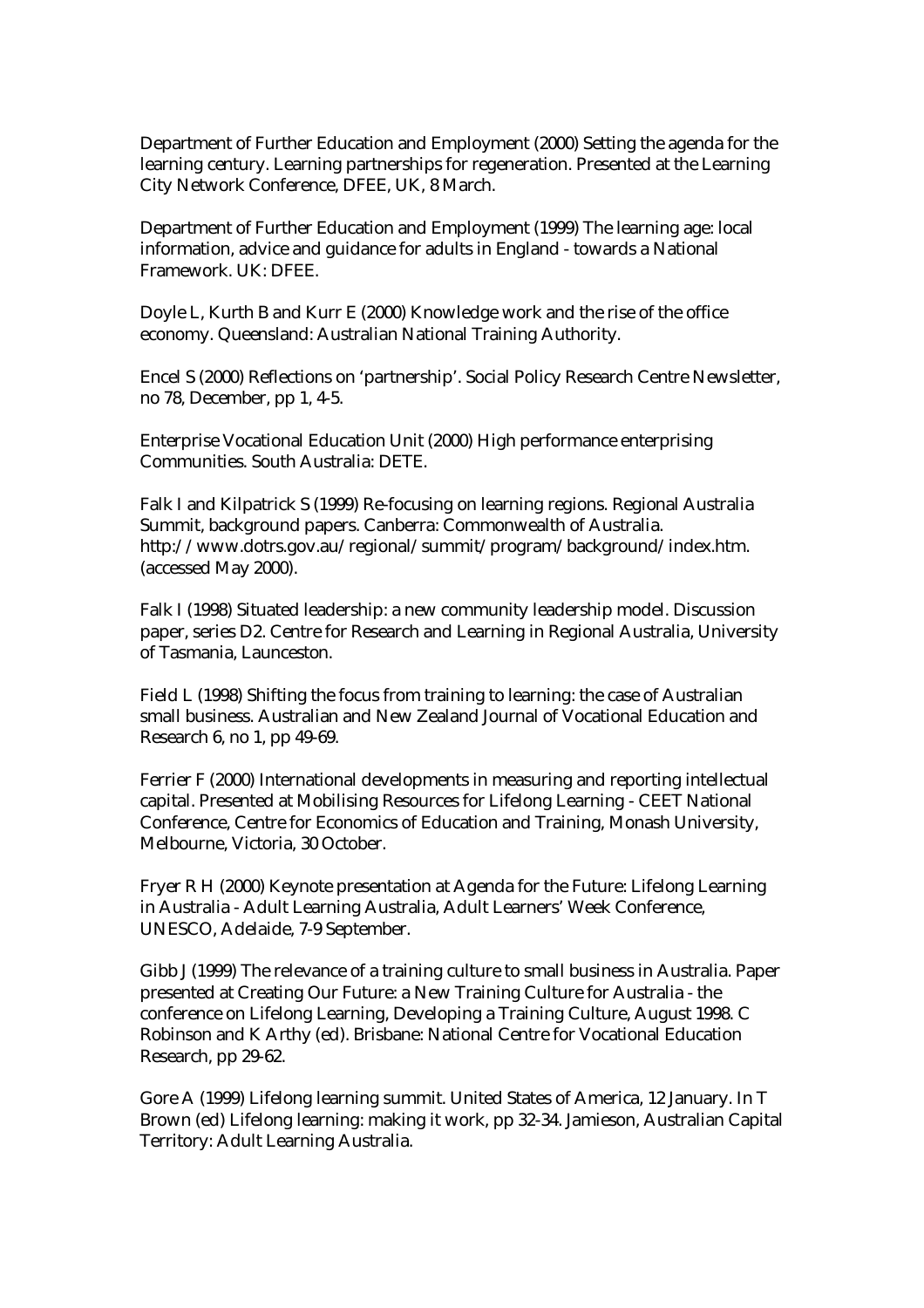Department of Further Education and Employment (2000) Setting the agenda for the learning century. Learning partnerships for regeneration. Presented at the Learning City Network Conference, DFEE, UK, 8 March.

Department of Further Education and Employment (1999) The learning age: local information, advice and guidance for adults in England - towards a National Framework. UK: DFEE.

Doyle L, Kurth B and Kurr E (2000) Knowledge work and the rise of the office economy. Queensland: Australian National Training Authority.

Encel S (2000) Reflections on 'partnership'. Social Policy Research Centre Newsletter, no 78, December, pp 1, 4-5.

Enterprise Vocational Education Unit (2000) High performance enterprising Communities. South Australia: DETE.

Falk I and Kilpatrick S (1999) Re-focusing on learning regions. Regional Australia Summit, background papers. Canberra: Commonwealth of Australia. http://www.dotrs.gov.au/regional/summit/program/background/index.htm. (accessed May 2000).

Falk I (1998) Situated leadership: a new community leadership model. Discussion paper, series D2. Centre for Research and Learning in Regional Australia, University of Tasmania, Launceston.

Field L (1998) Shifting the focus from training to learning: the case of Australian small business. Australian and New Zealand Journal of Vocational Education and Research 6, no 1, pp 49-69.

Ferrier F (2000) International developments in measuring and reporting intellectual capital. Presented at Mobilising Resources for Lifelong Learning - CEET National Conference, Centre for Economics of Education and Training, Monash University, Melbourne, Victoria, 30 October.

Fryer R H (2000) Keynote presentation at Agenda for the Future: Lifelong Learning in Australia - Adult Learning Australia, Adult Learners' Week Conference, UNESCO, Adelaide, 7-9 September.

Gibb J (1999) The relevance of a training culture to small business in Australia. Paper presented at Creating Our Future: a New Training Culture for Australia - the conference on Lifelong Learning, Developing a Training Culture, August 1998. C Robinson and K Arthy (ed). Brisbane: National Centre for Vocational Education Research, pp 29-62.

Gore A (1999) Lifelong learning summit. United States of America, 12 January. In T Brown (ed) Lifelong learning: making it work, pp 32-34. Jamieson, Australian Capital Territory: Adult Learning Australia.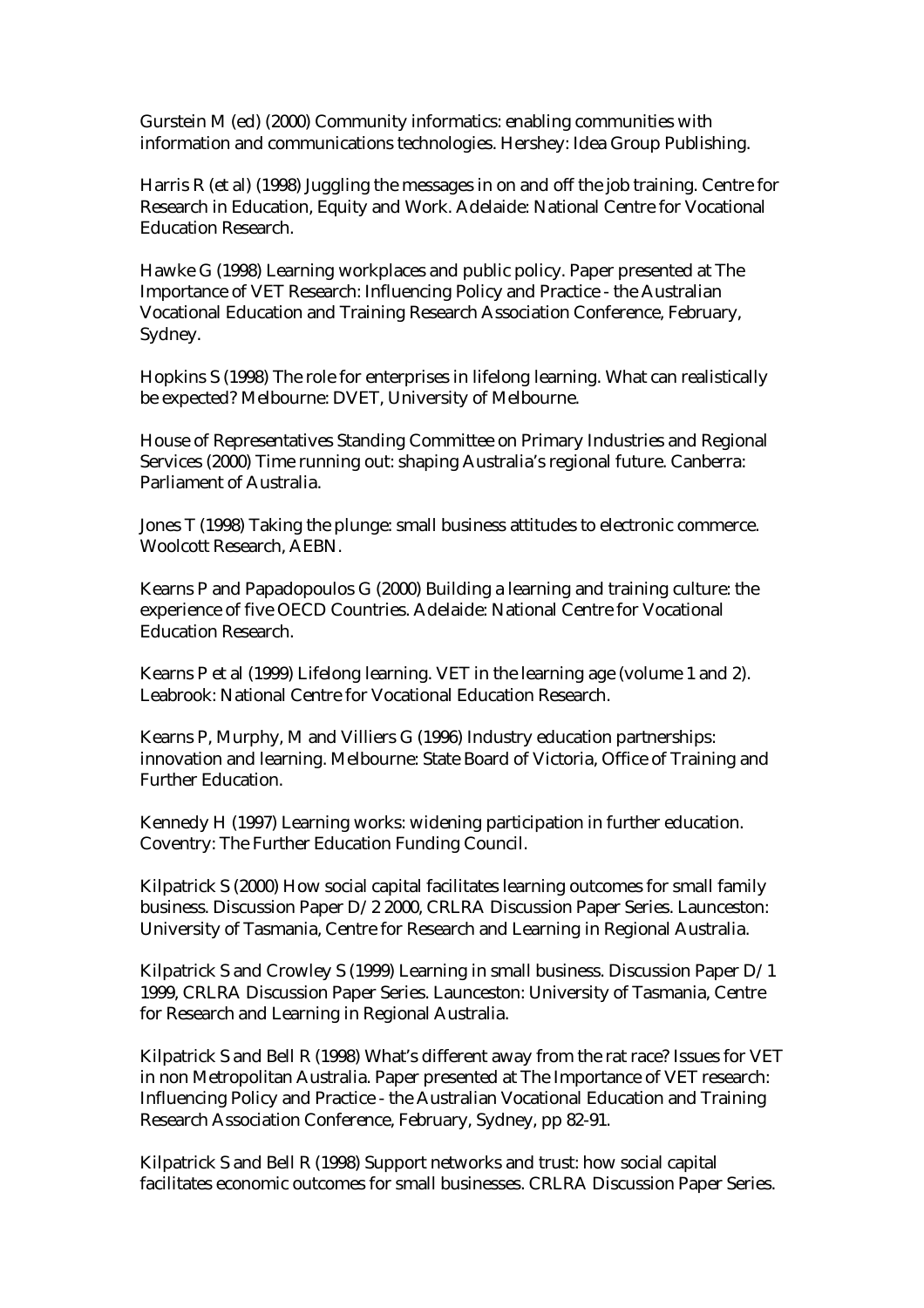Gurstein M (ed) (2000) Community informatics: enabling communities with information and communications technologies. Hershey: Idea Group Publishing.

Harris R (et al) (1998) Juggling the messages in on and off the job training. Centre for Research in Education, Equity and Work. Adelaide: National Centre for Vocational Education Research.

Hawke G (1998) Learning workplaces and public policy. Paper presented at The Importance of VET Research: Influencing Policy and Practice - the Australian Vocational Education and Training Research Association Conference, February, Sydney.

Hopkins S (1998) The role for enterprises in lifelong learning. What can realistically be expected? Melbourne: DVET, University of Melbourne.

House of Representatives Standing Committee on Primary Industries and Regional Services (2000) Time running out: shaping Australia's regional future. Canberra: Parliament of Australia.

Jones T (1998) Taking the plunge: small business attitudes to electronic commerce. Woolcott Research, AEBN.

Kearns P and Papadopoulos G (2000) Building a learning and training culture: the experience of five OECD Countries. Adelaide: National Centre for Vocational Education Research.

Kearns P et al (1999) Lifelong learning. VET in the learning age (volume 1 and 2). Leabrook: National Centre for Vocational Education Research.

Kearns P, Murphy, M and Villiers G (1996) Industry education partnerships: innovation and learning. Melbourne: State Board of Victoria, Office of Training and Further Education.

Kennedy H (1997) Learning works: widening participation in further education. Coventry: The Further Education Funding Council.

Kilpatrick S (2000) How social capital facilitates learning outcomes for small family business. Discussion Paper D/2 2000, CRLRA Discussion Paper Series. Launceston: University of Tasmania, Centre for Research and Learning in Regional Australia.

Kilpatrick S and Crowley S (1999) Learning in small business. Discussion Paper D/1 1999, CRLRA Discussion Paper Series. Launceston: University of Tasmania, Centre for Research and Learning in Regional Australia.

Kilpatrick S and Bell R (1998) What's different away from the rat race? Issues for VET in non Metropolitan Australia. Paper presented at The Importance of VET research: Influencing Policy and Practice - the Australian Vocational Education and Training Research Association Conference, February, Sydney, pp 82-91.

Kilpatrick S and Bell R (1998) Support networks and trust: how social capital facilitates economic outcomes for small businesses. CRLRA Discussion Paper Series.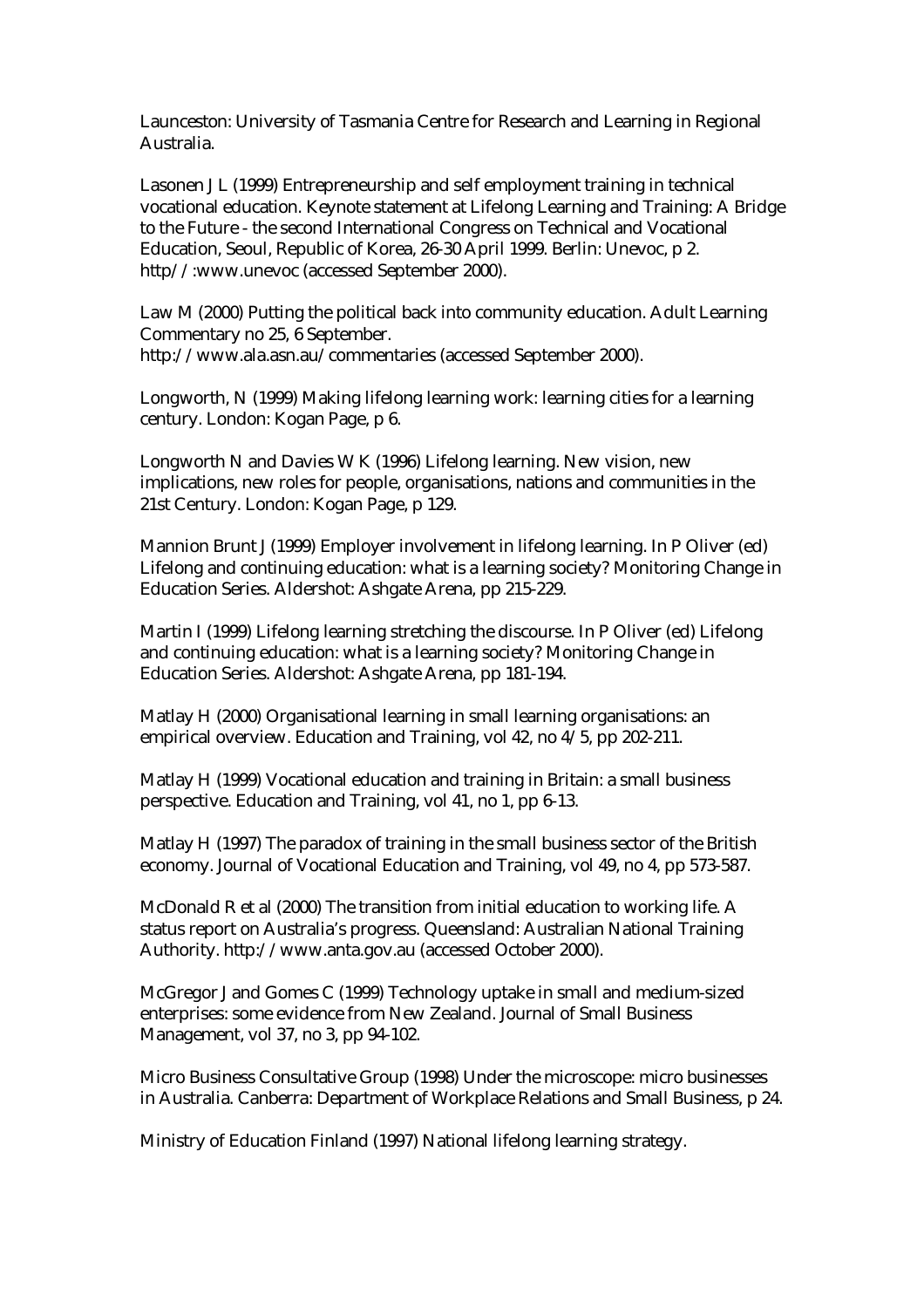Launceston: University of Tasmania Centre for Research and Learning in Regional Australia.

Lasonen J L (1999) Entrepreneurship and self employment training in technical vocational education. Keynote statement at Lifelong Learning and Training: A Bridge to the Future - the second International Congress on Technical and Vocational Education, Seoul, Republic of Korea, 26-30 April 1999. Berlin: Unevoc, p 2. http//:www.unevoc (accessed September 2000).

Law M (2000) Putting the political back into community education. Adult Learning Commentary no 25, 6 September. http://www.ala.asn.au/commentaries (accessed September 2000).

Longworth, N (1999) Making lifelong learning work: learning cities for a learning century. London: Kogan Page, p 6.

Longworth N and Davies W K (1996) Lifelong learning. New vision, new implications, new roles for people, organisations, nations and communities in the 21st Century. London: Kogan Page, p 129.

Mannion Brunt J (1999) Employer involvement in lifelong learning. In P Oliver (ed) Lifelong and continuing education: what is a learning society? Monitoring Change in Education Series. Aldershot: Ashgate Arena, pp 215-229.

Martin I (1999) Lifelong learning stretching the discourse. In P Oliver (ed) Lifelong and continuing education: what is a learning society? Monitoring Change in Education Series. Aldershot: Ashgate Arena, pp 181-194.

Matlay H (2000) Organisational learning in small learning organisations: an empirical overview. Education and Training, vol 42, no 4/5, pp 202-211.

Matlay H (1999) Vocational education and training in Britain: a small business perspective. Education and Training, vol 41, no 1, pp 6-13.

Matlay H (1997) The paradox of training in the small business sector of the British economy. Journal of Vocational Education and Training, vol 49, no 4, pp 573-587.

McDonald R et al (2000) The transition from initial education to working life. A status report on Australia's progress. Queensland: Australian National Training Authority. http://www.anta.gov.au (accessed October 2000).

McGregor J and Gomes C (1999) Technology uptake in small and medium-sized enterprises: some evidence from New Zealand. Journal of Small Business Management, vol 37, no 3, pp 94-102.

Micro Business Consultative Group (1998) Under the microscope: micro businesses in Australia. Canberra: Department of Workplace Relations and Small Business, p 24.

Ministry of Education Finland (1997) National lifelong learning strategy.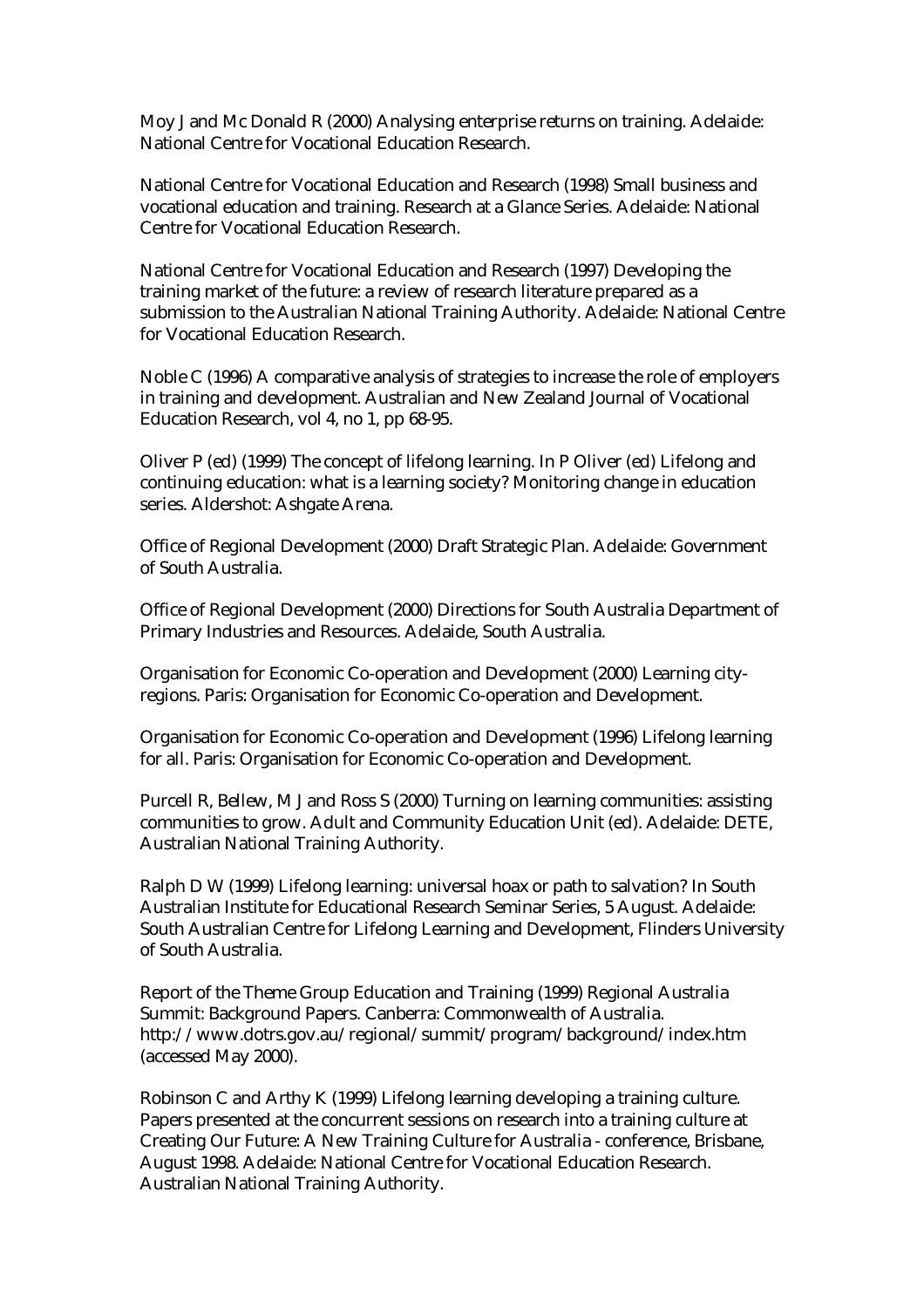Moy J and Mc Donald R (2000) Analysing enterprise returns on training. Adelaide: National Centre for Vocational Education Research.

National Centre for Vocational Education and Research (1998) Small business and vocational education and training. Research at a Glance Series. Adelaide: National Centre for Vocational Education Research.

National Centre for Vocational Education and Research (1997) Developing the training market of the future: a review of research literature prepared as a submission to the Australian National Training Authority. Adelaide: National Centre for Vocational Education Research.

Noble C (1996) A comparative analysis of strategies to increase the role of employers in training and development. Australian and New Zealand Journal of Vocational Education Research, vol 4, no 1, pp 68-95.

Oliver P (ed) (1999) The concept of lifelong learning. In P Oliver (ed) Lifelong and continuing education: what is a learning society? Monitoring change in education series. Aldershot: Ashgate Arena.

Office of Regional Development (2000) Draft Strategic Plan. Adelaide: Government of South Australia.

Office of Regional Development (2000) Directions for South Australia Department of Primary Industries and Resources. Adelaide, South Australia.

Organisation for Economic Co-operation and Development (2000) Learning cityregions. Paris: Organisation for Economic Co-operation and Development.

Organisation for Economic Co-operation and Development (1996) Lifelong learning for all. Paris: Organisation for Economic Co-operation and Development.

Purcell R, Bellew, M J and Ross S (2000) Turning on learning communities: assisting communities to grow. Adult and Community Education Unit (ed). Adelaide: DETE, Australian National Training Authority.

Ralph D W (1999) Lifelong learning: universal hoax or path to salvation? In South Australian Institute for Educational Research Seminar Series, 5 August. Adelaide: South Australian Centre for Lifelong Learning and Development, Flinders University of South Australia.

Report of the Theme Group Education and Training (1999) Regional Australia Summit: Background Papers. Canberra: Commonwealth of Australia. http://www.dotrs.gov.au/regional/summit/program/background/index.htm (accessed May 2000).

Robinson C and Arthy K (1999) Lifelong learning developing a training culture. Papers presented at the concurrent sessions on research into a training culture at Creating Our Future: A New Training Culture for Australia - conference, Brisbane, August 1998. Adelaide: National Centre for Vocational Education Research. Australian National Training Authority.